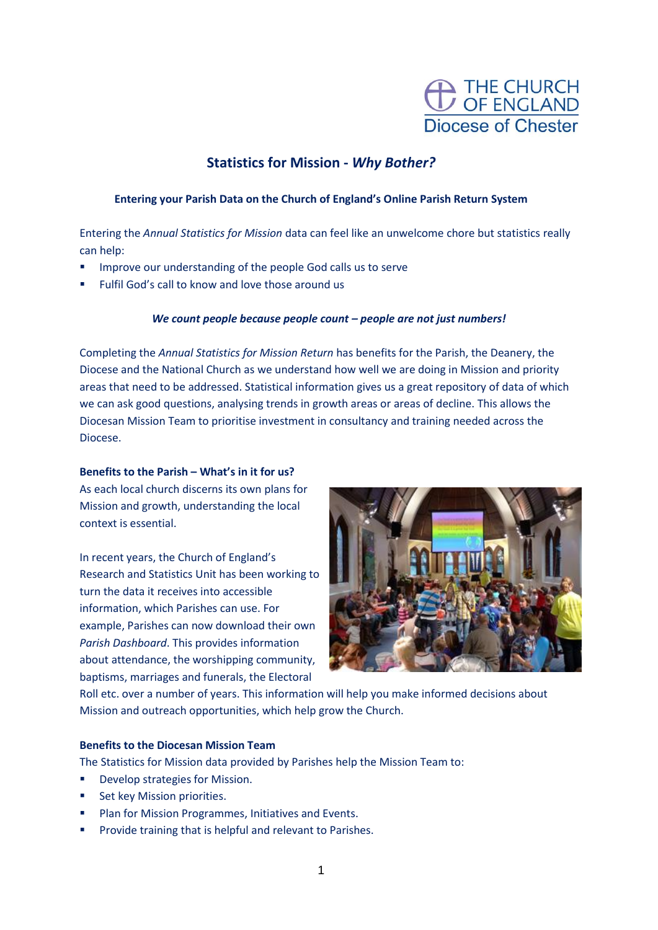

# **Statistics for Mission -** *Why Bother?*

## **Entering your Parish Data on the Church of England's Online Parish Return System**

Entering the *Annual Statistics for Mission* data can feel like an unwelcome chore but statistics really can help:

- **■** Improve our understanding of the people God calls us to serve
- Fulfil God's call to know and love those around us

# *We count people because people count – people are not just numbers!*

Completing the *Annual Statistics for Mission Return* has benefits for the Parish, the Deanery, the Diocese and the National Church as we understand how well we are doing in Mission and priority areas that need to be addressed. Statistical information gives us a great repository of data of which we can ask good questions, analysing trends in growth areas or areas of decline. This allows the Diocesan Mission Team to prioritise investment in consultancy and training needed across the Diocese.

#### **Benefits to the Parish – What's in it for us?**

As each local church discerns its own plans for Mission and growth, understanding the local context is essential.

In recent years, the Church of England's Research and Statistics Unit has been working to turn the data it receives into accessible information, which Parishes can use. For example, Parishes can now download their own *Parish Dashboard*. This provides information about attendance, the worshipping community. baptisms, marriages and funerals, the Electoral



Roll etc. over a number of years. This information will help you make informed decisions about Mission and outreach opportunities, which help grow the Church.

# **Benefits to the Diocesan Mission Team**

The Statistics for Mission data provided by Parishes help the Mission Team to:

- Develop strategies for Mission.
- Set key Mission priorities.
- Plan for Mission Programmes, Initiatives and Events.
- Provide training that is helpful and relevant to Parishes.